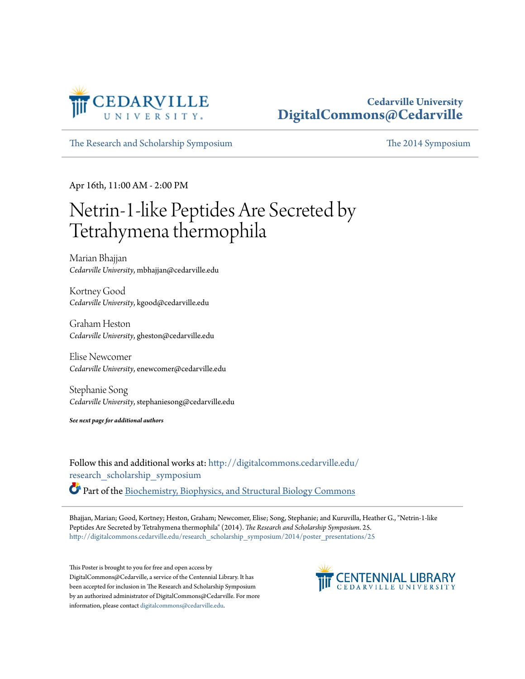

#### **Cedarville University [DigitalCommons@Cedarville](http://digitalcommons.cedarville.edu?utm_source=digitalcommons.cedarville.edu%2Fresearch_scholarship_symposium%2F2014%2Fposter_presentations%2F25&utm_medium=PDF&utm_campaign=PDFCoverPages)**

[The Research and Scholarship Symposium](http://digitalcommons.cedarville.edu/research_scholarship_symposium?utm_source=digitalcommons.cedarville.edu%2Fresearch_scholarship_symposium%2F2014%2Fposter_presentations%2F25&utm_medium=PDF&utm_campaign=PDFCoverPages) [The 2014 Symposium](http://digitalcommons.cedarville.edu/research_scholarship_symposium/2014?utm_source=digitalcommons.cedarville.edu%2Fresearch_scholarship_symposium%2F2014%2Fposter_presentations%2F25&utm_medium=PDF&utm_campaign=PDFCoverPages)

Apr 16th, 11:00 AM - 2:00 PM

#### Netrin-1-like Peptides Are Secreted by Tetrahymena thermophila

Marian Bhajjan *Cedarville University*, mbhajjan@cedarville.edu

Kortney Good *Cedarville University*, kgood@cedarville.edu

Graham Heston *Cedarville University*, gheston@cedarville.edu

Elise Newcomer *Cedarville University*, enewcomer@cedarville.edu

Stephanie Song *Cedarville University*, stephaniesong@cedarville.edu

*See next page for additional authors*

Follow this and additional works at: [http://digitalcommons.cedarville.edu/](http://digitalcommons.cedarville.edu/research_scholarship_symposium?utm_source=digitalcommons.cedarville.edu%2Fresearch_scholarship_symposium%2F2014%2Fposter_presentations%2F25&utm_medium=PDF&utm_campaign=PDFCoverPages) [research\\_scholarship\\_symposium](http://digitalcommons.cedarville.edu/research_scholarship_symposium?utm_source=digitalcommons.cedarville.edu%2Fresearch_scholarship_symposium%2F2014%2Fposter_presentations%2F25&utm_medium=PDF&utm_campaign=PDFCoverPages) Part of the [Biochemistry, Biophysics, and Structural Biology Commons](http://network.bepress.com/hgg/discipline/1?utm_source=digitalcommons.cedarville.edu%2Fresearch_scholarship_symposium%2F2014%2Fposter_presentations%2F25&utm_medium=PDF&utm_campaign=PDFCoverPages)

Bhajjan, Marian; Good, Kortney; Heston, Graham; Newcomer, Elise; Song, Stephanie; and Kuruvilla, Heather G., "Netrin-1-like Peptides Are Secreted by Tetrahymena thermophila" (2014). *The Research and Scholarship Symposium*. 25. [http://digitalcommons.cedarville.edu/research\\_scholarship\\_symposium/2014/poster\\_presentations/25](http://digitalcommons.cedarville.edu/research_scholarship_symposium/2014/poster_presentations/25?utm_source=digitalcommons.cedarville.edu%2Fresearch_scholarship_symposium%2F2014%2Fposter_presentations%2F25&utm_medium=PDF&utm_campaign=PDFCoverPages)

This Poster is brought to you for free and open access by DigitalCommons@Cedarville, a service of the Centennial Library. It has been accepted for inclusion in The Research and Scholarship Symposium by an authorized administrator of DigitalCommons@Cedarville. For more information, please contact [digitalcommons@cedarville.edu.](mailto:digitalcommons@cedarville.edu)

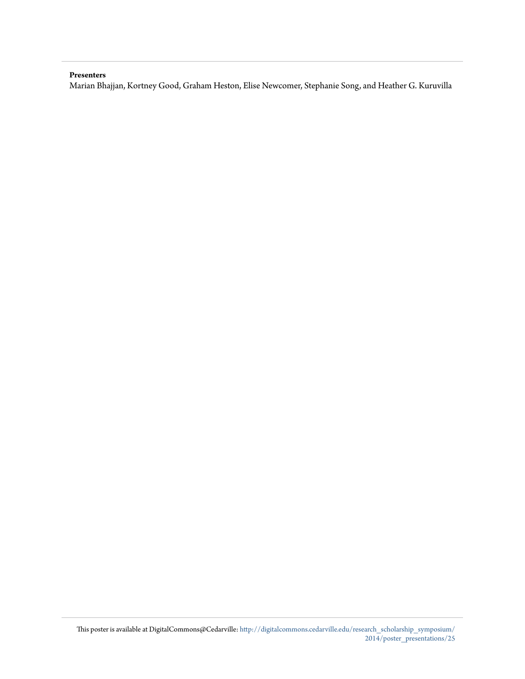#### **Presenters**

Marian Bhajjan, Kortney Good, Graham Heston, Elise Newcomer, Stephanie Song, and Heather G. Kuruvilla